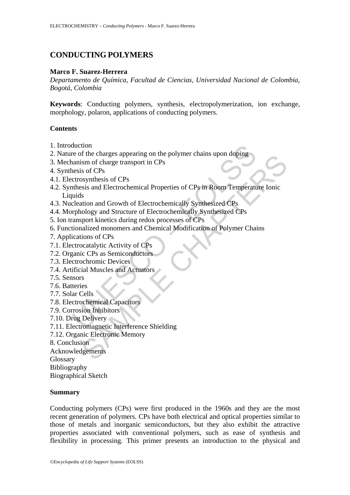# **CONDUCTING POLYMERS**

## **Marco F. Suarez-Herrera**

*Departamento de Química, Facultad de Ciencias, Universidad Nacional de Colombia, Bogotá, Colombia* 

**Keywords**: Conducting polymers, synthesis, electropolymerization, ion exchange, morphology, polaron, applications of conducting polymers.

# **Contents**

- 1. Introduction
- 2. Nature of the charges appearing on the polymer chains upon doping
- 3. Mechanism of charge transport in CPs
- 4. Synthesis of CPs
- 4.1. Electrosynthesis of CPs
- duction<br>
er of the charges appearing on the polymer chains upon doping<br>
anaism of charge transport in CPs<br>
ensis of CPs<br>
ctrosynthesis of CPs<br>
ctrosynthesis of CPs<br>
ctrosynthesis of CPs<br>
ctrosynthesis of CPs<br>
ctrosynthesis In the Guarges appearing on the polymer chains upon doping<br>
is in of charge transport in CPs<br>
sof CPs<br>
sof CPs<br>
sof CPs<br>
sof CPs<br>
sof CPs<br>
sof CPs<br>
sof CPs<br>
contributeits during redox processes of CPs<br>
intion and Growth of 4.2. Synthesis and Electrochemical Properties of CPs in Room Temperature Ionic Liquids
- 4.3. Nucleation and Growth of Electrochemically Synthesized CPs
- 4.4. Morphology and Structure of Electrochemically Synthesized CPs
- 5. Ion transport kinetics during redox processes of CPs
- 6. Functionalized monomers and Chemical Modification of Polymer Chains
- 7. Applications of CPs
- 7.1. Electrocatalytic Activity of CPs
- 7.2. Organic CPs as Semiconductors
- 7.3. Electrochromic Devices
- 7.4. Artificial Muscles and Actuators
- 7.5. Sensors
- 7.6. Batteries
- 7.7. Solar Cells
- 7.8. Electrochemical Capacitors
- 7.9. Corrosion Inhibitors
- 7.10. Drug Delivery
- 7.11. Electromagnetic Interference Shielding
- 7.12. Organic Electronic Memory
- 8. Conclusion

Acknowledgements

Glossary

Bibliography

Biographical Sketch

### **Summary**

Conducting polymers (CPs) were first produced in the 1960s and they are the most recent generation of polymers. CPs have both electrical and optical properties similar to those of metals and inorganic semiconductors, but they also exhibit the attractive properties associated with conventional polymers, such as ease of synthesis and flexibility in processing. This primer presents an introduction to the physical and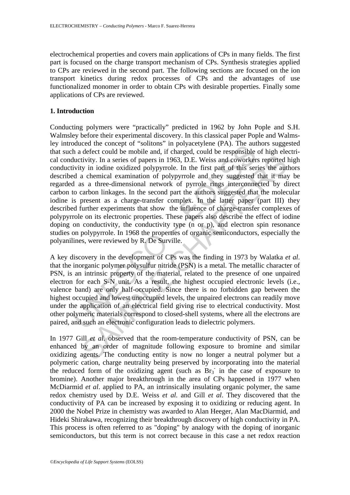electrochemical properties and covers main applications of CPs in many fields. The first part is focused on the charge transport mechanism of CPs. Synthesis strategies applied to CPs are reviewed in the second part. The following sections are focused on the ion transport kinetics during redox processes of CPs and the advantages of use functionalized monomer in order to obtain CPs with desirable properties. Finally some applications of CPs are reviewed.

#### **1. Introduction**

outed the contept of Thromis in polyatety<br>let (FA). The author outed the defect could be mobile and, if charged, could be promsible<br>luctivity. In a series of papers in 1963, D.E. Weiss and coworker<br>ivity in iodine oxidized Eventually by in idding to provide the first particular conductivity. In a series of papers in 1963, D.E. Weiss and coworkers reported by in iodine oxidized polypyrrole. In the first part of this series the automorror of Conducting polymers were "practically" predicted in 1962 by John Pople and S.H. Walmsley before their experimental discovery. In this classical paper Pople and Walmsley introduced the concept of "solitons" in polyacetylene (PA). The authors suggested that such a defect could be mobile and, if charged, could be responsible of high electrical conductivity. In a series of papers in 1963, D.E. Weiss and coworkers reported high conductivity in iodine oxidized polypyrrole. In the first part of this series the authors described a chemical examination of polypyrrole and they suggested that it may be regarded as a three-dimensional network of pyrrole rings interconnected by direct carbon to carbon linkages. In the second part the authors suggested that the molecular iodine is present as a charge-transfer complex. In the latter paper (part III) they described further experiments that show the influence of charge-transfer complexes of polypyrrole on its electronic properties. These papers also describe the effect of iodine doping on conductivity, the conductivity type (n or p), and electron spin resonance studies on polypyrrole. In 1968 the properties of organic semiconductors, especially the polyanilines, were reviewed by R. De Surville.

A key discovery in the development of CPs was the finding in 1973 by Walatka *et al*. that the inorganic polymer polysulfur nitride (PSN) is a metal. The metallic character of PSN, is an intrinsic property of the material, related to the presence of one unpaired electron for each S-N unit. As a result, the highest occupied electronic levels (i.e., valence band) are only half-occupied. Since there is no forbidden gap between the highest occupied and lowest unoccupied levels, the unpaired electrons can readily move under the application of an electrical field giving rise to electrical conductivity. Most other polymeric materials correspond to closed-shell systems, where all the electrons are paired, and such an electronic configuration leads to dielectric polymers.

In 1977 Gill *et al*. observed that the room-temperature conductivity of PSN, can be enhanced by an order of magnitude following exposure to bromine and similar oxidizing agents. The conducting entity is now no longer a neutral polymer but a polymeric cation, charge neutrality being preserved by incorporating into the material the reduced form of the oxidizing agent (such as  $\text{Br}_3$  in the case of exposure to bromine). Another major breakthrough in the area of CPs happened in 1977 when McDiarmid *et al*. applied to PA, an intrinsically insulating organic polymer, the same redox chemistry used by D.E. Weiss *et al.* and Gill *et al*. They discovered that the conductivity of PA can be increased by exposing it to oxidizing or reducing agent. In 2000 the Nobel Prize in chemistry was awarded to Alan Heeger, Alan MacDiarmid, and Hideki Shirakawa, recognizing their breakthrough discovery of high conductivity in PA. This process is often referred to as "doping" by analogy with the doping of inorganic semiconductors, but this term is not correct because in this case a net redox reaction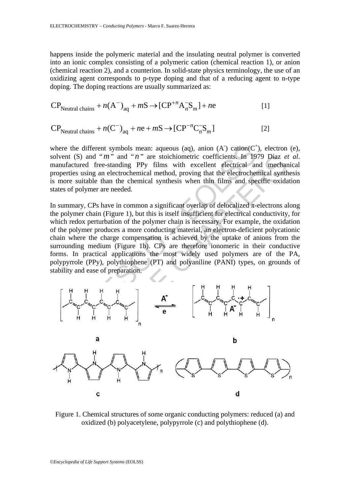happens inside the polymeric material and the insulating neutral polymer is converted into an ionic complex consisting of a polymeric cation (chemical reaction 1), or anion (chemical reaction 2), and a counterion. In solid-state physics terminology, the use of an oxidizing agent corresponds to p-type doping and that of a reducing agent to n-type doping. The doping reactions are usually summarized as:

$$
CP_{\text{Neutral chains}} + n(A^{-})_{aq} + mS \rightarrow [CP^{+n}A_{n}^{-}S_{m}] + ne
$$
 [1]

$$
CP_{\text{Neutral chains}} + n(C^{-})_{aq} + ne + mS \rightarrow [CP^{-n}C_{n}^{-}S_{m}]
$$
 [2]

where the different symbols mean: aqueous (aq), anion  $(A)$  cation( $C^+$ ), electron (e), solvent (S) and "*m*" and "*n*" are stoichiometric coefficients. In 1979 Diaz *et al.* manufactured free-standing PPy films with excellent electrical and mechanical properties using an electrochemical method, proving that the electrochemical synthesis is more suitable than the chemical synthesis when thin films and specific oxidation states of polymer are needed.

he different symbols mean: aqueous (aq), anion (A) cation(C'<br>
(S) and "*m*" and "*n*" are stoichiometric coefficients. In 19<br>
ctured free-standing PPy films with excellent electrical are<br>
susing an electrochemical method, In summary, CPs have in common a significant overlap of delocalized  $\pi$ -electrons along the polymer chain (Figure 1), but this is itself insufficient for electrical conductivity, for which redox perturbation of the polymer chain is necessary. For example, the oxidation of the polymer produces a more conducting material, an electron-deficient polycationic chain where the charge compensation is achieved by the uptake of anions from the surrounding medium (Figure 1b). CPs are therefore ionomeric in their conductive forms. In practical applications the most widely used polymers are of the PA, polypyrrole (PPy), polythiophene (PT) and polyaniline (PANI) types, on grounds of stability and ease of preparation.



Figure 1. Chemical structures of some organic conducting polymers: reduced (a) and oxidized (b) polyacetylene, polypyrrole (c) and polythiophene (d).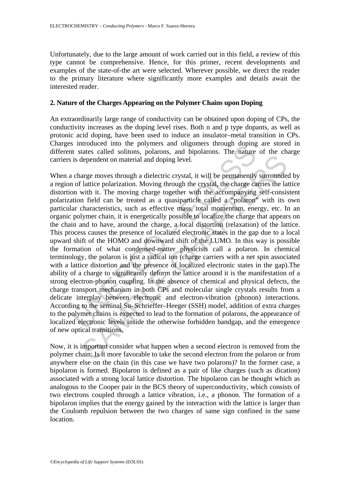Unfortunately, due to the large amount of work carried out in this field, a review of this type cannot be comprehensive. Hence, for this primer, recent developments and examples of the state-of-the art were selected. Wherever possible, we direct the reader to the primary literature where significantly more examples and details await the interested reader.

### **2. Nature of the Charges Appearing on the Polymer Chains upon Doping**

An extraordinarily large range of conductivity can be obtained upon doping of CPs, the conductivity increases as the doping level rises. Both n and p type dopants, as well as protonic acid doping, have been used to induce an insulator–metal transition in CPs. Charges introduced into the polymers and oligomers through doping are stored in different states called solitons, polarons, and bipolarons. The nature of the charge carriers is dependent on material and doping level.

s minutated mute polymers and ongenies through deping<br>is that states called solitons, polarons, and bipolarons. The nature<br>is dependent on material and doping level.<br>Charge moves through a dielectric crystal, it will be pe dependent on material and doping level.<br>
arge moves through a dielectric crystal, it will be permanently surrounde<br>
lattice polarization. Moving through the crystal, the charge carries the la<br>
with it. The moving charge to When a charge moves through a dielectric crystal, it will be permanently surrounded by a region of lattice polarization. Moving through the crystal, the charge carries the lattice distortion with it. The moving charge together with the accompanying self-consistent polarization field can be treated as a quasiparticle called a "polaron" with its own particular characteristics, such as effective mass, total momentum, energy, etc. In an organic polymer chain, it is energetically possible to localize the charge that appears on the chain and to have, around the charge, a local distortion (relaxation) of the lattice. This process causes the presence of localized electronic states in the gap due to a local upward shift of the HOMO and downward shift of the LUMO. In this way is possible the formation of what condensed-matter physicists call a polaron. In chemical terminology, the polaron is just a radical ion (charge carriers with a net spin associated with a lattice distortion and the presence of localized electronic states in the gap).The ability of a charge to significantly deform the lattice around it is the manifestation of a strong electron-phonon coupling. In the absence of chemical and physical defects, the charge transport mechanism in both CPs and molecular single crystals results from a delicate interplay between electronic and electron-vibration (phonon) interactions. According to the seminal Su–Schrieffer–Heeger (SSH) model, addition of extra charges to the polymer chains is expected to lead to the formation of polarons, the appearance of localized electronic levels inside the otherwise forbidden bandgap, and the emergence of new optical transitions.

Now, it is important consider what happen when a second electron is removed from the polymer chain: Is it more favorable to take the second electron from the polaron or from anywhere else on the chain (in this case we have two polarons)? In the former case, a bipolaron is formed. Bipolaron is defined as a pair of like charges (such as dication) associated with a strong local lattice distortion. The bipolaron can be thought which as analogous to the Cooper pair in the BCS theory of superconductivity, which consists of two electrons coupled through a lattice vibration, i.e., a phonon. The formation of a bipolaron implies that the energy gained by the interaction with the lattice is larger than the Coulomb repulsion between the two charges of same sign confined in the same location.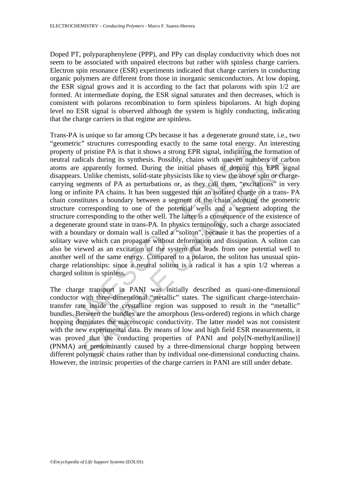Doped PT, polyparaphenylene (PPP), and PPy can display conductivity which does not seem to be associated with unpaired electrons but rather with spinless charge carriers. Electron spin resonance (ESR) experiments indicated that charge carriers in conducting organic polymers are different from those in inorganic semiconductors. At low doping, the ESR signal grows and it is according to the fact that polarons with spin 1/2 are formed. At intermediate doping, the ESR signal saturates and then decreases, which is consistent with polarons recombination to form spinless bipolarons. At high doping level no ESR signal is observed although the system is highly conducting, indicating that the charge carriers in that regime are spinless.

Inc. Successive of pristine PA is that it shows a strong EPR signal, indicating every of pristine PA is that it shows a strong EPR signal, indicating the radicals during its synthesis. Possibly, chains with unevern num are icals during its synthesis. Possibly, chains with uneven numbers of car<br>apparently formed. During the initial phases of doping this EPR si<br>Unlike chemisst, solid-state physicists like to view the above spin or change<br>ument Trans-PA is unique so far among CPs because it has a degenerate ground state, i.e., two "geometric" structures corresponding exactly to the same total energy. An interesting property of pristine PA is that it shows a strong EPR signal, indicating the formation of neutral radicals during its synthesis. Possibly, chains with uneven numbers of carbon atoms are apparently formed. During the initial phases of doping this EPR signal disappears. Unlike chemists, solid-state physicists like to view the above spin or chargecarrying segments of PA as perturbations or, as they call them, "excitations" in very long or infinite PA chains. It has been suggested that an isolated charge on a trans- PA chain constitutes a boundary between a segment of the chain adopting the geometric structure corresponding to one of the potential wells and a segment adopting the structure corresponding to the other well. The latter is a consequence of the existence of a degenerate ground state in trans-PA. In physics terminology, such a charge associated with a boundary or domain wall is called a "soliton", because it has the properties of a solitary wave which can propagate without deformation and dissipation. A soliton can also be viewed as an excitation of the system that leads from one potential well to another well of the same energy. Compared to a polaron, the soliton has unusual spincharge relationships: since a neutral soliton is a radical it has a spin 1/2 whereas a charged soliton is spinless.

The charge transport in PANI was initially described as quasi-one-dimensional conductor with three-dimensional "metallic" states. The significant charge-interchaintransfer rate inside the crystalline region was supposed to result in the "metallic" bundles. Between the bundles are the amorphous (less-ordered) regions in which charge hopping dominates the macroscopic conductivity. The latter model was not consistent with the new experimental data. By means of low and high field ESR measurements, it was proved that the conducting properties of PANI and poly[N-methyl(aniline)] (PNMA) are predominantly caused by a three-dimensional charge hopping between different polymeric chains rather than by individual one-dimensional conducting chains. However, the intrinsic properties of the charge carriers in PANI are still under debate.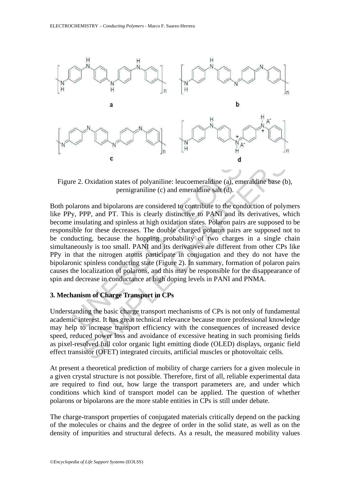

Figure 2. Oxidation states of polyaniline: leucoemeraldine (a), emeraldine base (b), pernigraniline (c) and emeraldine salt (d).

**EXECUTE:** The Unit of the consequence of the consequence of the consequence of the consequence of the consequence of the consequence of the conductions and bipolarons are considered to contribute to the conduction, PPP, **c**  $\alpha$  d  $\alpha$ <br>  $\alpha$ . Oxidation states of polyaniline: leucoemeraldine (a), emeraldine base (b<br>
permigraniline (c) and emeraldine salt (d).<br>
Dons and bipolarons are considered to contribute to the conduction of poly-<br>
PP Both polarons and bipolarons are considered to contribute to the conduction of polymers like PPy, PPP, and PT. This is clearly distinctive to PANI and its derivatives, which become insulating and spinless at high oxidation states. Polaron pairs are supposed to be responsible for these decreases. The double charged polaron pairs are supposed not to be conducting, because the hopping probability of two charges in a single chain simultaneously is too small. PANI and its derivatives are different from other CPs like PPy in that the nitrogen atoms participate in conjugation and they do not have the bipolaronic spinless conducting state (Figure 2). In summary, formation of polaron pairs causes the localization of polarons, and this may be responsible for the disappearance of spin and decrease in conductance at high doping levels in PANI and PNMA.

# **3. Mechanism of Charge Transport in CPs**

Understanding the basic charge transport mechanisms of CPs is not only of fundamental academic interest. It has great technical relevance because more professional knowledge may help to increase transport efficiency with the consequences of increased device speed, reduced power loss and avoidance of excessive heating in such promising fields as pixel-resolved full color organic light emitting diode (OLED) displays, organic field effect transistor (OFET) integrated circuits, artificial muscles or photovoltaic cells.

At present a theoretical prediction of mobility of charge carriers for a given molecule in a given crystal structure is not possible. Therefore, first of all, reliable experimental data are required to find out, how large the transport parameters are, and under which conditions which kind of transport model can be applied. The question of whether polarons or bipolarons are the more stable entities in CPs is still under debate.

The charge-transport properties of conjugated materials critically depend on the packing of the molecules or chains and the degree of order in the solid state, as well as on the density of impurities and structural defects. As a result, the measured mobility values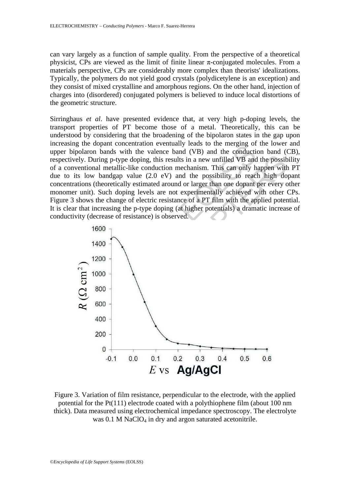can vary largely as a function of sample quality. From the perspective of a theoretical physicist. CPs are viewed as the limit of finite linear  $\pi$ -conjugated molecules. From a materials perspective, CPs are considerably more complex than theorists' idealizations. Typically, the polymers do not yield good crystals (polydicetylene is an exception) and they consist of mixed crystalline and amorphous regions. On the other hand, injection of charges into (disordered) conjugated polymers is believed to induce local distortions of the geometric structure.

Sirringhaus *et al*. have presented evidence that, at very high p-doping levels, the transport properties of PT become those of a metal. Theoretically, this can be understood by considering that the broadening of the bipolaron states in the gap upon increasing the dopant concentration eventually leads to the merging of the lower and upper bipolaron bands with the valence band (VB) and the conduction band (CB), respectively. During p-type doping, this results in a new unfilled VB and the possibility of a conventional metallic-like conduction mechanism. This can only happen with PT due to its low bandgap value (2.0 eV) and the possibility to reach high dopant concentrations (theoretically estimated around or larger than one dopant per every other monomer unit). Such doping levels are not experimentally achieved with other CPs. Figure 3 shows the change of electric resistance of a PT film with the applied potential. It is clear that increasing the p-type doping (at higher potentials) a dramatic increase of conductivity (decrease of resistance) is observed.



Figure 3. Variation of film resistance, perpendicular to the electrode, with the applied potential for the Pt(111) electrode coated with a polythiophene film (about 100 nm thick). Data measured using electrochemical impedance spectroscopy. The electrolyte was  $0.1$  M NaClO<sub>4</sub> in dry and argon saturated acetonitrile.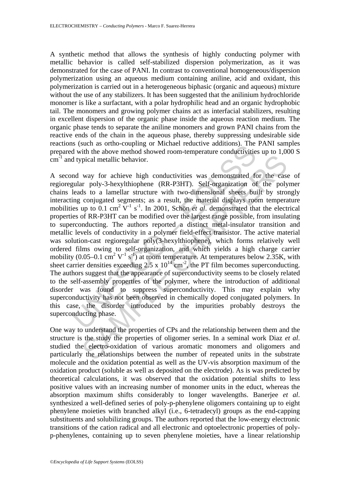A synthetic method that allows the synthesis of highly conducting polymer with metallic behavior is called self-stabilized dispersion polymerization, as it was demonstrated for the case of PANI. In contrast to conventional homogeneous/dispersion polymerization using an aqueous medium containing aniline, acid and oxidant, this polymerization is carried out in a heterogeneous biphasic (organic and aqueous) mixture without the use of any stabilizers. It has been suggested that the anilinium hydrochloride monomer is like a surfactant, with a polar hydrophilic head and an organic hydrophobic tail. The monomers and growing polymer chains act as interfacial stabilizers, resulting in excellent dispersion of the organic phase inside the aqueous reaction medium. The organic phase tends to separate the aniline monomers and grown PANI chains from the reactive ends of the chain in the aqueous phase, thereby suppressing undesirable side reactions (such as ortho-coupling or Michael reductive additions). The PANI samples prepared with the above method showed room-temperature conductivities up to 1,000 S  $cm<sup>-1</sup>$  and typical metallic behavior.

Is visual as onto-Coupling of Michael Teductive admitists). The<br>d with the above method showed room-temperature conductivitie<br>d typical metallic behavior.<br>In way for achieve high conductivities was demonstrated for<br>leads pical metallic behavior.<br>
way for achieve high conductivities was demonstrated for the case<br>
are poly-3-hexylthiophene (RR-P3HT). Self-organization of the poly<br>
ds to a lamellar structure with two-dimensional sheets built A second way for achieve high conductivities was demonstrated for the case of regioregular poly-3-hexylthiophene (RR-P3HT). Self-organization of the polymer chains leads to a lamellar structure with two-dimensional sheets built by strongly interacting conjugated segments; as a result, the material displays room temperature mobilities up to  $0.1 \text{ cm}^2 \text{ V}^{-1} \text{ s}^{-1}$ . In 2001, Schön *et al.* demonstrated that the electrical properties of RR-P3HT can be modified over the largest range possible, from insulating to superconducting. The authors reported a distinct metal-insulator transition and metallic levels of conductivity in a polymer field-effect transistor. The active material was solution-cast regioregular poly(3-hexylthiophene), which forms relatively well ordered films owing to self-organization, and which yields a high charge carrier mobility (0.05–0.1 cm<sup>2</sup> V<sup>-1</sup> s<sup>-1</sup>) at room temperature. At temperatures below 2.35K, with sheet carrier densities exceeding 2.5 x  $10^{14}$  cm<sup>-2</sup>, the PT film becomes superconducting. The authors suggest that the appearance of superconductivity seems to be closely related to the self-assembly properties of the polymer, where the introduction of additional disorder was found to suppress superconductivity. This may explain why superconductivity has not been observed in chemically doped conjugated polymers. In this case, the disorder introduced by the impurities probably destroys the superconducting phase.

One way to understand the properties of CPs and the relationship between them and the structure is the study the properties of oligomer series. In a seminal work Diaz *et al*. studied the electro-oxidation of various aromatic monomers and oligomers and particularly the relationships between the number of repeated units in the substrate molecule and the oxidation potential as well as the UV-vis absorption maximum of the oxidation product (soluble as well as deposited on the electrode). As is was predicted by theoretical calculations, it was observed that the oxidation potential shifts to less positive values with an increasing number of monomer units in the educt, whereas the absorption maximum shifts considerably to longer wavelengths. Banerjee *et al*. synthesized a well-defined series of poly-p-phenylene oligomers containing up to eight phenylene moieties with branched alkyl (i.e., 6-tetradecyl) groups as the end-capping substituents and solubilizing groups. The authors reported that the low-energy electronic transitions of the cation radical and all electronic and optoelectronic properties of polyp-phenylenes, containing up to seven phenylene moieties, have a linear relationship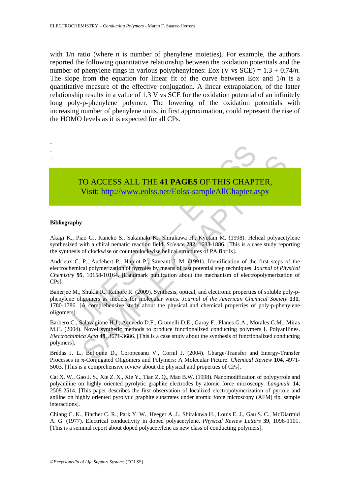with  $1/n$  ratio (where n is number of phenylene moieties). For example, the authors reported the following quantitative relationship between the oxidation potentials and the number of phenylene rings in various polyphenylenes: Eox (V vs  $SCE$ ) = 1.3 + 0.74/*n*. The slope from the equation for linear fit of the curve between Eox and 1/n is a quantitative measure of the effective conjugation. A linear extrapolation, of the latter relationship results in a value of 1.3 V vs SCE for the oxidation potential of an infinitely long poly-p-phenylene polymer. The lowering of the oxidation potentials with increasing number of phenylene units, in first approximation, could represent the rise of the HOMO levels as it is expected for all CPs.



# TO ACCESS ALL THE **41 PAGES** OF THIS CHAPTER, Visit: http://www.eolss.net/Eolss-sampleAllChapter.aspx

#### **Bibliography**

Akagi K., Piao G., Kaneko S., Sakamaki K., Shirakawa H., Kyotani M. (1998). Helical polyacetylene synthesized with a chiral nematic reaction field. *Science* **282**, 1683-1886. [This is a case study reporting the synthesis of clockwise or counterclockwise helical structures of PA fibrils].

CO ACCESS ALL THE 41 PAGES OF THIS CHAP[TER](https://www.eolss.net/ebooklib/sc_cart.aspx?File=E6-121-11-00),<br>
Visit: http://www.eolss.net/Eolss-sampleAllChapter.aspx<br>
ao G., Kaneko S., Sakamaki K., Shirakawa H., Kyotani M. (1998). Helical polyacety<br>
of olockwise or counterlockwise helic Andrieux C. P., Audebert P., Hapiot P., Saveant J. M. (1991). Identification of the first steps of the electrochemical polymerization of pyrroles by means of fast potential step techniques. J*ournal of Physical Chemistry* **95**, 10158-10164. [Landmark publication about the mechanism of electropolymerization of CPs].

Banerjee M., Shukla R., Rathore R. (2009). Synthesis, optical, and electronic properties of soluble poly-pphenylene oligomers as models for molecular wires. *Journal of the American Chemical Society* **131**, 1780-1786. [A comprehensive study about the physical and chemical properties of poly-p-phenylene oligomers].

Barbero C., Salavagione H.J., Acevedo D.F., Grumelli D.E., Garay F., Planes G.A., Morales G.M., Miras M.C. (2004). Novel synthetic methods to produce functionalized conducting polymers I. Polyanilines. *Electrochimica Acta* **49**, 3671-3686. [This is a case study about the synthesis of functionalized conducting polymers].

Brédas J. L., Beljonne D., Coropceanu V., Cornil J. (2004). Charge-Transfer and Energy-Transfer Processes in π-Conjugated Oligomers and Polymers: A Molecular Picture. *Chemical Review* **104**, 4971- 5003. [This is a comprehensive review about the physical and properties of CPs].

Cai X. W., Gao J. S., Xie Z. X., Xie Y., Tian Z. Q., Mao B.W. (1998). Nanomodification of polypyrrole and polyaniline on highly oriented pyrolytic graphite electrodes by atomic force microscopy*. Langmuir* **14**, 2508-2514. [This paper describes the first observation of localized electropolymerization of pyrrole and aniline on highly oriented pyrolytic graphite substrates under atomic force microscopy (AFM) tip−sample interactions].

Chiang C. K., Fincher C. R., Park Y. W., Heeger A. J., Shirakawa H., Louis E. J., Gau S. C., McDiarmid A. G. (1977). Electrical conductivity in doped polyacetylene. *Physical Review Letters* **39**, 1098-1101. [This is a seminal report about doped polyacetylene as new class of conducting polymers].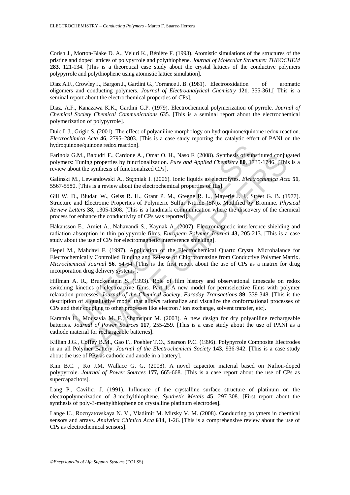Corish J., Morton-Blake D. A., Veluri K., Bénière F. (1993). Atomistic simulations of the structures of the pristine and doped lattices of polypyrrole and polythiophene. *Journal of Molecular Structure: THEOCHEM* **283**, 121-134. [This is a theoretical case study about the crystal lattices of the conductive polymers polypyrrole and polythiophene using atomistic lattice simulation].

Diaz A.F., Crowley J., Bargon J., Gardini G., Torrance J. B. (1981). Electrooxidation of aromatic oligomers and conducting polymers. *Journal of Electroanalytical Chemistry* **121**, 355-361.[ This is a seminal report about the electrochemical properties of CPs].

Diaz, A.F., Kanazawa K.K., Gardini G.P. (1979). Electrochemical polymerization of pyrrole. *Journal of Chemical Society Chemical Communications* 635. [This is a seminal report about the electrochemical polymerization of polypyrrole].

Duic L.J., Grigic S. (2001). The effect of polyaniline morphology on hydroquinone/quinone redox reaction. *Electrochimica Acta* **46**, 2795–2803. [This is a case study reporting the catalytic effect of PANI on the hydroquinone/quinone redox reaction].

Farinola G.M., Babudri F., Cardone A., Omar O. H., Naso F. (2008). Synthesis of substituted conjugated polymers: Tuning properties by functionalization. *Pure and Applied Chemistry* **80**, 1735-1746. [This is a review about the synthesis of functionalized CPs].

Galínski M., Lewandowski A., Stępniak I. (2006). Ionic liquids as electrolytes. *Electrochimica Acta* **51**, 5567-5580. [This is a review about the electrochemical properties of ILs].

Gill W. D., Bludau W., Geiss R. H., Grant P. M., Greene R. L., Mayerle J. J., Street G. B. (1977). Structure and Electronic Properties of Polymeric Sulfur Nitride (SN)x Modified by Bromine. *Physical Review Letters* **38**, 1305-1308. [This is a landmark communication where the discovery of the chemical process for enhance the conductivity of CPs was reported].

Håkansson E., Amiet A., Nahavandi S., Kaynak A. (2007). Electromagnetic interference shielding and radiation absorption in thin polypyrrole films. *European Polymer Journal* **43,** 205-213. [This is a case study about the use of CPs for electromagnetic interference shielding].

Hepel M., Mahdavi F. (1997). Application of the Electrochemical Quartz Crystal Microbalance for Electrochemically Controlled Binding and Release of Chlorpromazine from Conductive Polymer Matrix. *Microchemical Journal* **56**, 54-64. [This is the first report about the use of CPs as a matrix for drug incorporation drug delivery systems].

one/quinone redox reaction].<br>
G.M., Babudri F., Cardone A., Omar O. H., Naso F. (2008). Synthesis of subs<br>
1: Tuning properties by functionalization. *Pure and Applied Chemistry* 80, 173<br>
1: Tuning properties by functional I., Babudri F., Cardone A., Omar O. H., Naso F. (2008). Synthesis of substituted conjuning<br>ming properties by functionalization. Pure and Applied Chemistry 80, 1735-1746. [This is a review about the electrochemical CPs].<br> Hillman A. R., Bruckenstein S. (1993). Role of film history and observational timescale on redox switching kinetics of electroactive films. Part 1.-A new model for permselective films with polymer relaxation processes. *Journal of the Chemical Society, Faraday Transactions* **89**, 339-348. [This is the description of a qualitative model that allows rationalize and visualize the conformational processes of CPs and their coupling to other processes like electron / ion exchange, solvent transfer, etc].

Karamia H., Mousavia M. F., Shamsipur M. (2003). A new design for dry polyaniline rechargeable batteries. *Journal of Power Sources* **117**, 255-259. [This is a case study about the use of PANI as a cathode material for rechargeable batteries].

Killian J.G., Coffey B.M., Gao F., Poehler T.O., Searson P.C. (1996). Polypyrrole Composite Electrodes in an all Polymer Battery. *Journal of the Electrochemical Society* **143**, 936-942. [This is a case study about the use of PPy as cathode and anode in a battery].

Kim B.C. , Ko J.M. Wallace G. G. (2008). A novel capacitor material based on Nafion-doped polypyrrole. *Journal of Power Sources* **177,** 665-668. [This is a case report about the use of CPs as supercapacitors].

Lang P., Cavilier J. (1991). Influence of the crystalline surface structure of platinum on the electropolymerization of 3-methylthiophene. *Synthetic Metals* **45**, 297-308. [First report about the synthesis of poly-3-methylthiophene on crystalline platinum electrodes].

Lange U., Roznyatovskaya N. V., Vladimir M. Mirsky V. M. (2008). Conducting polymers in chemical sensors and arrays. *Analytica Chimica Acta* **614**, 1-26. [This is a comprehensive review about the use of CPs as electrochemical sensors].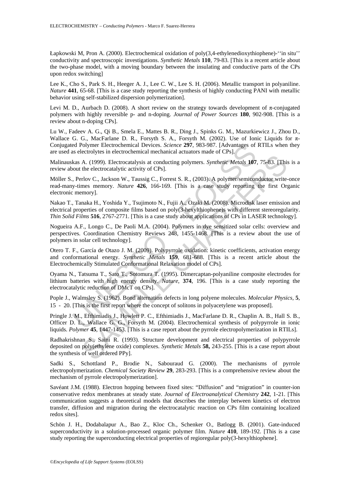Łapkowski M, Pron A. (2000). Electrochemical oxidation of poly(3,4-ethylenedioxythiophene)-''in situ'' conductivity and spectroscopic investigations. *Synthetic Metals* **110**, 79-83. [This is a recent article about the two-phase model, with a moving boundary between the insulating and conductive parts of the CPs upon redox switching]

Lee K., Cho S., Park S. H., Heeger A. J., Lee C. W., Lee S. H. (2006). Metallic transport in polyaniline. *Nature* **441**, 65-68. [This is a case study reporting the synthesis of highly conducting PANI with metallic behavior using self-stabilized dispersion polymerization].

Levi M. D., Aurbach D. (2008). A short review on the strategy towards development of π-conjugated polymers with highly reversible p- and n-doping. *Journal of Power Sources* **180**, 902-908. [This is a review about n-doping CPs].

Lu W., Fadeev A. G., Qi B., Smela E., Mattes B. R., Ding J., Spinks G. M., Mazurkiewicz J., Zhou D., Wallace G. G., MacFarlane D. R., Forsyth S. A., Forsyth M. (2002). Use of Ionic Liquids for π-Conjugated Polymer Electrochemical Devices. *Science* **297**, 983-987. [Advantages of RTILs when they are used as electrolytes in electrochemical mechanical actuators made of CPs].

Malinauskas A. (1999). Electrocatalysis at conducting polymers. *Synthetic Metals* **107**, 75-83. [This is a review about the electrocatalytic activity of CPs].

Möller S., Perlov C., Jackson W., Taussig C., Forrest S. R., (2003). A polymer/semiconductor write-once read-many-times memory. *Nature* **426**, 166-169. [This is a case study reporting the first Organic electronic memory].

Nakao T., Tanaka H., Yoshida Y., Tsujimoto N., Fujii A., Ozaki M. (2008). Microdisk laser emission and electrical properties of composite films based on poly(3-hexylthiophene)s with different stereoregularity. *Thin Solid Films* **516**, 2767-2771. [This is a case study about applications of CPs in LASER technology].

Nogueira A.F., Longo C., De Paoli M.A. (2004). Polymers in dye sensitized solar cells: overview and perspectives. Coordination Chemistry Reviews 248, 1455-1468. [This is a review about the use of polymers in solar cell technology].

ed Polymer Electrochemical Devices. *Science* 297, 983-987. [Advantages of<br>selectrolytes in electrochemical mechanical actuators made of CPs].<br>kas electrochemical mechanical actuators made of CPs].<br>Jout the electrocatalysi Otero T. F., García de Otazo J. M. (2009). Polypyrrole oxidation: kinetic coefficients, activation energy and conformational energy. *Synthetic Metals* **159**, 681-688. [This is a recent article about the Electrochemically Stimulated Conformational Relaxation model of CPs].

Oyama N., Tatsuma T., Sato T., Sotomura T. (1995). Dimercaptan-polyaniline composite electrodes for lithium batteries with high energy density. *Nature*, **374**, 196. [This is a case study reporting the electrocatalytic reduction of DMcT on CPs].

Pople J., Walmsley S. (1962). Bond alternation defects in long polyene molecules. *Molecular Physics,* **5**, 15 - 20. [This is the first report where the concept of solitons in polyacetylene was proposed].

Pringle J. M., Efthimiadis J., Howlett P. C., Efthimiadis J., MacFarlane D. R., Chaplin A. B., Hall S. B., Officer D. L., Wallace G. G., Forsyth M. (2004). Electrochemical synthesis of polypyrrole in ionic liquids. *Polymer* **45**, 1447-1453. [This is a case report about the pyrrole electropolymerization in RTILs].

A. (1999). Electrocatalysis at conducting polymers. Synthetic Metals 107, 75-83. [Thit<br>the electrocatalytic activity of CPs].<br>The electrocatalytic activity of CPs].<br>The electrocatalytic activity of CPs].<br>The electrocataly Radhakrishnan S., Saini R. (1993). Structure development and electrical properties of polypyrrole deposited on poly(ethylene oxide) complexes. *Synthetic Metals* **58,** 243-255. [This is a case report about the synthesis of well ordered PPy].

Sadki S., Schottland P., Brodie N., Sabouraud G. (2000). The mechanisms of pyrrole electropolymerization. *Chemical Society Review* **29**, 283-293. [This is a comprehensive review about the mechanism of pyrrole electropolymerization].

Savéant J.M. (1988). Electron hopping between fixed sites: "Diffusion" and "migration" in counter-ion conservative redox membranes at steady state. *Journal of Electroanalytical Chemistry* **242**, 1-21. [This communication suggests a theoretical models that describes the interplay between kinetics of electron transfer, diffusion and migration during the electrocatalytic reaction on CPs film containing localized redox sites].

Schön J. H., Dodabalapur A., Bao Z., Kloc Ch., Schenker O., Batlogg B. (2001). Gate-induced superconductivity in a solution-processed organic polymer film. *Nature* **410**, 189-192. [This is a case study reporting the superconducting electrical properties of regioregular poly(3-hexylthiophene].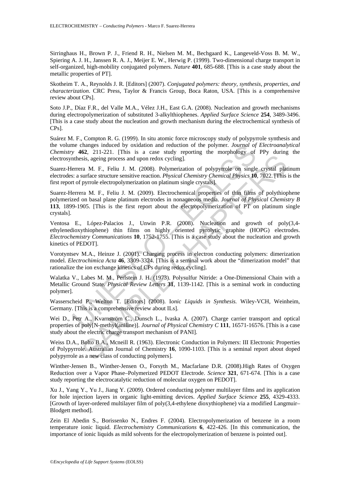Sirringhaus H., Brown P. J., Friend R. H., Nielsen M. M., Bechgaard K., Langeveld-Voss B. M. W., Spiering A. J. H., Janssen R. A. J., Meijer E. W., Herwig P. (1999). Two-dimensional charge transport in self-organized, high-mobility conjugated polymers. *Nature* **401**, 685-688. [This is a case study about the metallic properties of PT].

Skotheim T. A., Reynolds J. R. [Editors] (2007). *Conjugated polymers: theory, synthesis, properties, and characterization*. CRC Press, Taylor & Francis Group, Boca Raton, USA. [This is a comprehensive review about CPs].

Soto J.P., Díaz F.R., del Valle M.A., Vélez J.H., East G.A. (2008). Nucleation and growth mechanisms during electropolymerization of substituted 3-alkylthiophenes. *Applied Surface Science* **254**, 3489-3496. [This is a case study about the nucleation and growth mechanism during the electrochemical synthesis of CPs].

Suárez M. F., Compton R. G. (1999). In situ atomic force microscopy study of polypyrrole synthesis and the volume changes induced by oxidation and reduction of the polymer. *Journal of Electroanalytical Chemistry* **462**, 211-221. [This is a case study reporting the morphology of PPy during the electrosynthesis, ageing process and upon redox cycling].

Suarez-Herrera M. F., Feliu J. M. (2008). Polymerization of polypyrrole on single crystal platinum electrodes: a surface structure sensitive reaction. *Physical Chemistry Chemical Physics* **10**, 7022. [This is the first report of pyrrole electropolymerization on platinum single crystals].

me changes induced by oxidation and reduction of the polymer. *Journal of*<br>y 462, 211-221. [This is a case study reporting the morphology of<br>stiss, ageing process and upon redox cycling].<br>
errera M. F., Feliu J. M. (2008). Example 1. At 1. (2008). Polymerization of polypyrole on single crystal plat<br>sis, ageing process and upon redox cycling].<br>The M. F., Feliu J. M. (2008). Polymerization of polypyrole on single crystal plat<br>surface structur Suarez-Herrera M. F., Feliu J. M. (2009). Electrochemical properties of thin films of polythiophene polymerized on basal plane platinum electrodes in nonaqueous media. *Journal of Physical Chemistry B* **113**, 1899-1905. [This is the first report about the electropolymerization of PT on platinum single crystals].

Ventosa E., López-Palacios J., Unwin P.R. (2008). Nucleation and growth of poly(3,4 ethylenedioxythiophene) thin films on highly oriented pyrolytic graphite (HOPG) electrodes. *Electrochemistry Communications* **10**, 1752-1755. [This is a case study about the nucleation and growth kinetics of PEDOT].

Vorotyntsev M.A., Heinze J. (2001). Charging process in electron conducting polymers: dimerization model. *Electrochimica Acta* **46**, 3309-3324. [This is a seminal work about the "dimerization model" that rationalize the ion exchange kinetics of CPs during redox cycling].

Walatka V., Labes M. M., Perlstein J. H. (1973). Polysulfur Nitride: a One-Dimensional Chain with a Metallic Ground State. *Physical Review Letters* **31**, 1139-1142. [This is a seminal work in conducting polymer].

Wasserscheid P., Welton T. [Editors] (2008). I*onic Liquids in Synthesis.* Wiley-VCH, Weinheim, Germany. [This is a comprehensive review about ILs].

Wei D., Petr A., Kvarnström C., Dunsch L., Ivaska A. (2007). Charge carrier transport and optical properties of poly[N-methyl(aniline)]. *Journal of Physical Chemistry C* **111**, 16571-16576. [This is a case study about the electric charge transport mechanism of PANI].

Weiss D.A., Bolto B.A., Mcneill R. (1963). Electronic Conduction in Polymers: III Electronic Properties of Polypyrrole. Australian Journal of Chemistry **16**, 1090-1103. [This is a seminal report about doped polypyrrole as a new class of conducting polymers].

Winther-Jensen B., Winther-Jensen O., Forsyth M., Macfarlane D.R. (2008).High Rates of Oxygen Reduction over a Vapor Phase–Polymerized PEDOT Electrode. *Science* **321**, 671-674. [This is a case study reporting the electrocatalytic reduction of molecular oxygen on PEDOT].

Xu J., Yang Y., Yu J., Jiang Y. (2009). Ordered conducting polymer multilayer films and its application for hole injection layers in organic light-emitting devices. *Applied Surface Science* **255**, 4329-4333. [Growth of layer-ordered multilayer film of poly(3,4-ethylene dioxythiophene) via a modified Langmuir– Blodgett method].

Zein El Abedin S., Borissenko N., Endres F. (2004). Electropolymerization of benzene in a room temperature ionic liquid. *Electrochemistry Communications* **6**, 422-426. [In this communication, the importance of ionic liquids as mild solvents for the electropolymerization of benzene is pointed out].